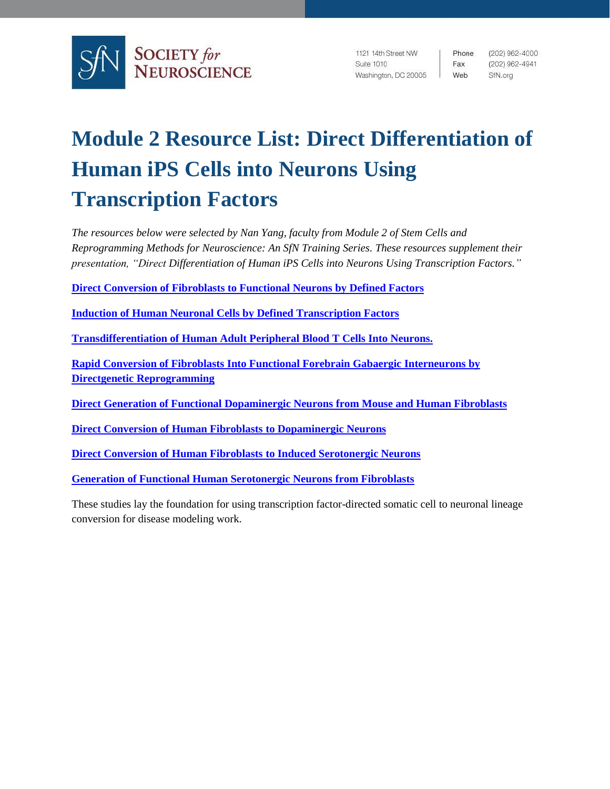

1121 14th Street NW Suite 1010 Washington, DC 20005

Phone. Fax Web

(202) 962-4000 (202) 962-4941 SfN.org

## **Module 2 Resource List: Direct Differentiation of Human iPS Cells into Neurons Using Transcription Factors**

*The resources below were selected by Nan Yang, faculty from Module 2 of Stem Cells and Reprogramming Methods for Neuroscience: An SfN Training Series. These resources supplement their presentation, "Direct Differentiation of Human iPS Cells into Neurons Using Transcription Factors."*

**[Direct Conversion of Fibroblasts to Functional Neurons by Defined Factors](https://doi.org/10.1038/nature08797)** 

**[Induction of Human Neuronal Cells by Defined Transcription Factors](https://doi.org/10.1038/nature10202)**

**[Transdifferentiation of Human Adult Peripheral Blood T Cells Into Neurons.](https://doi.org/10.1073/pnas.1720273115)**

**[Rapid Conversion of Fibroblasts Into Functional Forebrain Gabaergic Interneurons by](https://doi.org/10.1016/j.stem.2015.09.002)  [Directgenetic Reprogramming](https://doi.org/10.1016/j.stem.2015.09.002)**

**[Direct Generation of Functional Dopaminergic Neurons from Mouse and Human Fibroblasts](https://doi.org/10.1038/nature10284)**

**[Direct Conversion of Human Fibroblasts to Dopaminergic Neurons](https://doi.org/10.1073/pnas.1105135108)**

**[Direct Conversion of Human Fibroblasts to Induced Serotonergic Neurons](https://doi.org/10.1038/mp.2015.101)**

**[Generation of Functional Human Serotonergic Neurons from Fibroblasts](https://doi.org/10.1038/mp.2015.161)**

These studies lay the foundation for using transcription factor-directed somatic cell to neuronal lineage conversion for disease modeling work.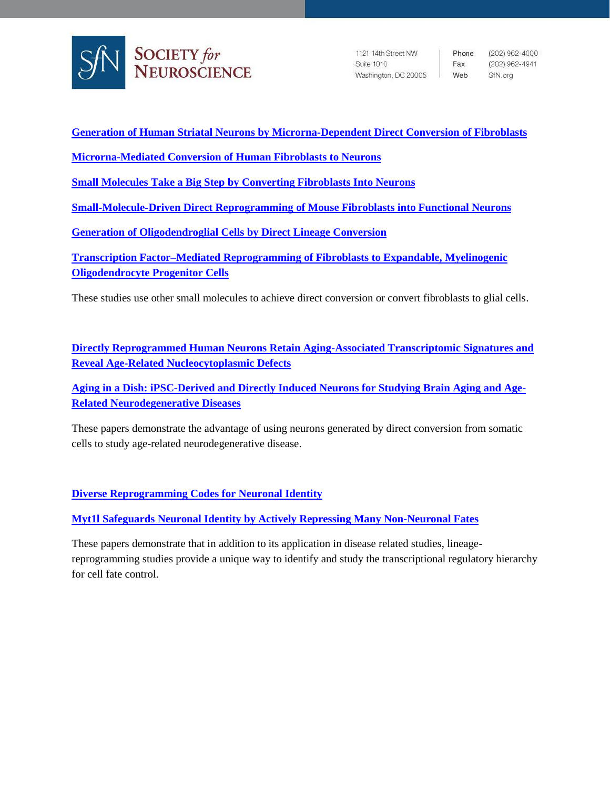

1121 14th Street NW Suite 1010 Washington, DC 20005 | Web

Phone (202) 962-4000 Fax (202) 962-4941 SfN.org

**[Generation of Human Striatal Neurons by Microrna-Dependent Direct Conversion of Fibroblasts](https://doi.org/10.1016/j.neuron.2014.10.016)**

**[Microrna-Mediated Conversion of Human Fibroblasts to Neurons](https://doi.org/10.1038/nature10323)**

**Small Molecules Take a [Big Step by Converting Fibroblasts Into Neurons](https://doi.org/10.1016/j.stem.2015.07.018)**

**[Small-Molecule-Driven Direct Reprogramming of Mouse Fibroblasts into Functional Neurons](https://doi.org/10.1016/j.stem.2015.06.003)**

**[Generation of Oligodendroglial Cells by Direct Lineage Conversion](https://doi.org/10.1038/nbt.2564)**

**[Transcription Factor–Mediated Reprogramming of Fibroblasts to Expandable, Myelinogenic](https://dx.doi.org/10.1038%2Fnbt.2561)  [Oligodendrocyte Progenitor Cells](https://dx.doi.org/10.1038%2Fnbt.2561)**

These studies use other small molecules to achieve direct conversion or convert fibroblasts to glial cells.

**[Directly Reprogrammed Human Neurons Retain Aging-Associated Transcriptomic Signatures and](https://doi.org/10.1016/j.stem.2015.09.001)  [Reveal Age-Related Nucleocytoplasmic Defects](https://doi.org/10.1016/j.stem.2015.09.001)**

**[Aging in a Dish: iPSC-Derived and Directly Induced Neurons for Studying Brain Aging and Age-](https://doi.org/10.1146/annurev-genet-120417-031534)[Related Neurodegenerative Diseases](https://doi.org/10.1146/annurev-genet-120417-031534)**

These papers demonstrate the advantage of using neurons generated by direct conversion from somatic cells to study age-related neurodegenerative disease.

**[Diverse Reprogramming Codes for Neuronal Identity](https://doi.org/10.1038/s41586-018-0103-5)**

**[Myt1l Safeguards Neuronal Identity by Actively Repressing Many Non-Neuronal Fates](https://doi.org/10.1038/nature21722)**

These papers demonstrate that in addition to its application in disease related studies, lineagereprogramming studies provide a unique way to identify and study the transcriptional regulatory hierarchy for cell fate control.